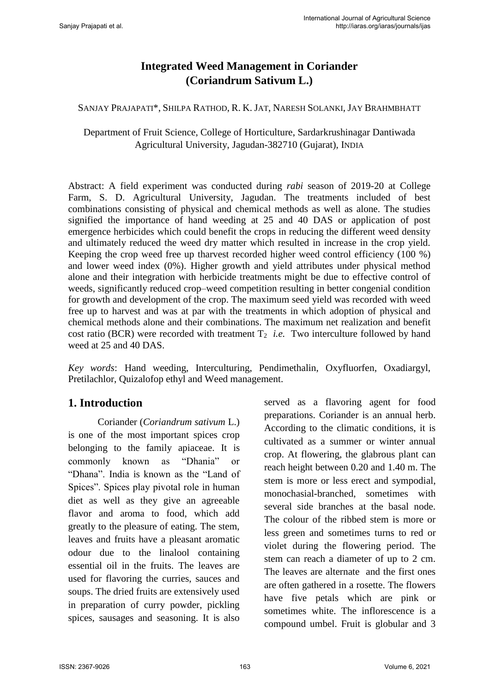# **Integrated Weed Management in Coriander (Coriandrum Sativum L.)**

SANJAY PRAJAPATI\*, SHILPA RATHOD, R. K. JAT, NARESH SOLANKI, JAY BRAHMBHATT

Department of Fruit Science, College of Horticulture, Sardarkrushinagar Dantiwada Agricultural University, Jagudan-382710 (Gujarat), INDIA

Abstract: A field experiment was conducted during *rabi* season of 2019-20 at College Farm, S. D. Agricultural University, Jagudan. The treatments included of best combinations consisting of physical and chemical methods as well as alone. The studies signified the importance of hand weeding at 25 and 40 DAS or application of post emergence herbicides which could benefit the crops in reducing the different weed density and ultimately reduced the weed dry matter which resulted in increase in the crop yield. Keeping the crop weed free up tharvest recorded higher weed control efficiency (100 %) and lower weed index (0%). Higher growth and yield attributes under physical method alone and their integration with herbicide treatments might be due to effective control of weeds, significantly reduced crop–weed competition resulting in better congenial condition for growth and development of the crop. The maximum seed yield was recorded with weed free up to harvest and was at par with the treatments in which adoption of physical and chemical methods alone and their combinations. The maximum net realization and benefit cost ratio (BCR) were recorded with treatment  $T_2$  *i.e.* Two interculture followed by hand weed at 25 and 40 DAS.

*Key words*: Hand weeding, Interculturing, Pendimethalin, Oxyfluorfen, Oxadiargyl, Pretilachlor, Quizalofop ethyl and Weed management.

## **1. Introduction**

 Coriander (*Coriandrum sativum* L.) is one of the most important spices crop belonging to the family apiaceae. It is commonly known as "Dhania" or "Dhana". India is known as the "Land of Spices". Spices play pivotal role in human diet as well as they give an agreeable flavor and aroma to food, which add greatly to the pleasure of eating. The stem, leaves and fruits have a pleasant aromatic odour due to the linalool containing essential oil in the fruits. The leaves are used for flavoring the curries, sauces and soups. The dried fruits are extensively used in preparation of curry powder, pickling spices, sausages and seasoning. It is also

served as a flavoring agent for food preparations. Coriander is an annual herb. According to the climatic conditions, it is cultivated as a summer or winter annual crop. At flowering, the glabrous plant can reach height between 0.20 and 1.40 m. The stem is more or less erect and sympodial, monochasial-branched, sometimes with several side branches at the basal node. The colour of the ribbed stem is more or less green and sometimes turns to red or violet during the flowering period. The stem can reach a diameter of up to 2 cm. The leaves are alternate and the first ones are often gathered in a rosette. The flowers have five petals which are pink or sometimes white. The inflorescence is a compound umbel. Fruit is globular and 3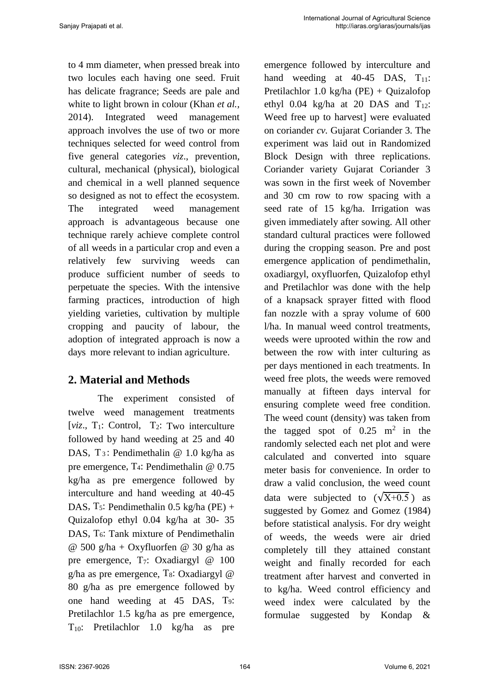to 4 mm diameter, when pressed break into two locules each having one seed. Fruit has delicate fragrance; Seeds are pale and white to light brown in colour (Khan *et al.,* 2014). Integrated weed management approach involves the use of two or more techniques selected for weed control from five general categories *viz*., prevention, cultural, mechanical (physical), biological and chemical in a well planned sequence so designed as not to effect the ecosystem. The integrated weed management approach is advantageous because one technique rarely achieve complete control of all weeds in a particular crop and even a relatively few surviving weeds can produce sufficient number of seeds to perpetuate the species. With the intensive farming practices, introduction of high yielding varieties, cultivation by multiple cropping and paucity of labour, the adoption of integrated approach is now a days more relevant to indian agriculture.

## **2. Material and Methods**

 The experiment consisted of twelve weed management treatments [ $viz., T_1$ : Control,  $T_2$ : Two interculture followed by hand weeding at 25 and 40 DAS, T<sub>3</sub>: Pendimethalin @ 1.0 kg/ha as pre emergence, T4: Pendimethalin @ 0.75 kg/ha as pre emergence followed by interculture and hand weeding at 40-45 DAS, T5: Pendimethalin 0.5 kg/ha (PE) + Quizalofop ethyl 0.04 kg/ha at 30- 35 DAS, T<sub>6</sub>: Tank mixture of Pendimethalin @ 500 g/ha + Oxyfluorfen @ 30 g/ha as pre emergence, T7: Oxadiargyl @ 100 g/ha as pre emergence,  $T_8$ : Oxadiargyl @ 80 g/ha as pre emergence followed by one hand weeding at 45 DAS, T9: Pretilachlor 1.5 kg/ha as pre emergence,  $T_{10}$ : Pretilachlor 1.0 kg/ha as pre

emergence followed by interculture and hand weeding at  $40-45$  DAS,  $T_{11}$ : Pretilachlor 1.0 kg/ha (PE) + Quizalofop ethyl 0.04 kg/ha at 20 DAS and  $T_{12}$ : Weed free up to harvest] were evaluated on coriander *cv.* Gujarat Coriander 3. The experiment was laid out in Randomized Block Design with three replications. Coriander variety Gujarat Coriander 3 was sown in the first week of November and 30 cm row to row spacing with a seed rate of 15 kg/ha. Irrigation was given immediately after sowing. All other standard cultural practices were followed during the cropping season. Pre and post emergence application of pendimethalin, oxadiargyl, oxyfluorfen, Quizalofop ethyl and Pretilachlor was done with the help of a knapsack sprayer fitted with flood fan nozzle with a spray volume of 600 l/ha. In manual weed control treatments, weeds were uprooted within the row and between the row with inter culturing as per days mentioned in each treatments. In weed free plots, the weeds were removed manually at fifteen days interval for ensuring complete weed free condition. The weed count (density) was taken from the tagged spot of  $0.25 \text{ m}^2$  in the randomly selected each net plot and were calculated and converted into square meter basis for convenience. In order to draw a valid conclusion, the weed count data were subjected to  $(\sqrt{X+0.5})$  as suggested by Gomez and Gomez (1984) before statistical analysis. For dry weight of weeds, the weeds were air dried completely till they attained constant weight and finally recorded for each treatment after harvest and converted in to kg/ha. Weed control efficiency and weed index were calculated by the formulae suggested by Kondap &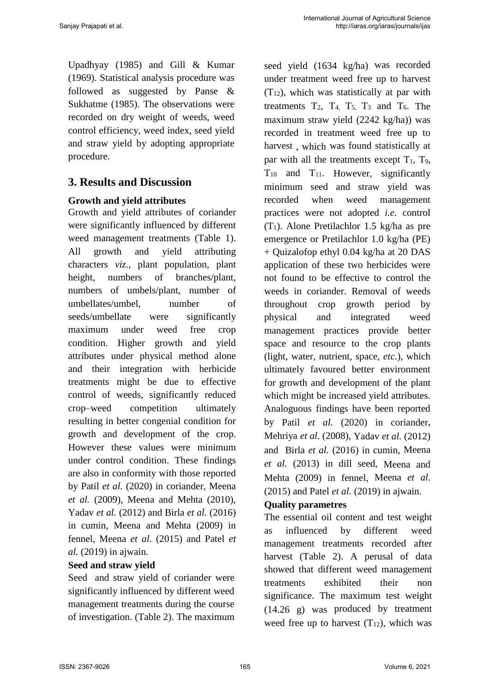Upadhyay (1985) and Gill & Kumar (1969). Statistical analysis procedure was followed as suggested by Panse & Sukhatme (1985). The observations were recorded on dry weight of weeds, weed control efficiency, weed index, seed yield and straw yield by adopting appropriate procedure.

# **3. Results and Discussion**

### **Growth and yield attributes**

Growth and yield attributes of coriander were significantly influenced by different weed management treatments (Table 1). All growth and yield attributing characters *viz*., plant population, plant height, numbers of branches/plant, numbers of umbels/plant, number of umbellates/umbel, number of seeds/umbellate were significantly maximum under weed free crop condition. Higher growth and yield attributes under physical method alone and their integration with herbicide treatments might be due to effective control of weeds, significantly reduced crop–weed competition ultimately resulting in better congenial condition for growth and development of the crop. However these values were minimum under control condition. These findings are also in conformity with those reported by Patil *et al.* (2020) in coriander, Meena *et al.* (2009), Meena and Mehta (2010), Yadav *et al.* (2012) and Birla *et al.* (2016) in cumin, Meena and Mehta (2009) in fennel, Meena *et al*. (2015) and Patel *et al.* (2019) in ajwain.

#### **Seed and straw yield**

Seed and straw yield of coriander were significantly influenced by different weed management treatments during the course of investigation. (Table 2). The maximum

seed yield (1634 kg/ha) was recorded under treatment weed free up to harvest  $(T_{12})$ , which was statistically at par with treatments  $T_2$ ,  $T_4$ ,  $T_5$ ,  $T_3$  and  $T_6$ . The maximum straw yield (2242 kg/ha)) was recorded in treatment weed free up to harvest , which was found statistically at par with all the treatments except  $T_1$ ,  $T_9$ ,  $T_{10}$  and  $T_{11}$ . However, significantly minimum seed and straw yield was recorded when weed management practices were not adopted *i.e.* control  $(T_1)$ . Alone Pretilachlor 1.5 kg/ha as pre emergence or Pretilachlor 1.0 kg/ha (PE) + Quizalofop ethyl 0.04 kg/ha at 20 DAS application of these two herbicides were not found to be effective to control the weeds in coriander. Removal of weeds throughout crop growth period by physical and integrated weed management practices provide better space and resource to the crop plants (light, water, nutrient, space, *etc.*), which ultimately favoured better environment for growth and development of the plant which might be increased yield attributes. Analoguous findings have been reported by Patil *et al.* (2020) in coriander, Mehriya *et al*. (2008), Yadav *et al.* (2012) and Birla *et al.* (2016) in cumin, Meena *et al.* (2013) in dill seed, Meena and Mehta (2009) in fennel, Meena *et al*. (2015) and Patel *et al.* (2019) in ajwain.

## **Quality parametres**

The essential oil content and test weight as influenced by different weed management treatments recorded after harvest (Table 2). A perusal of data showed that different weed management treatments exhibited their non significance. The maximum test weight (14.26 g) was produced by treatment weed free up to harvest  $(T_{12})$ , which was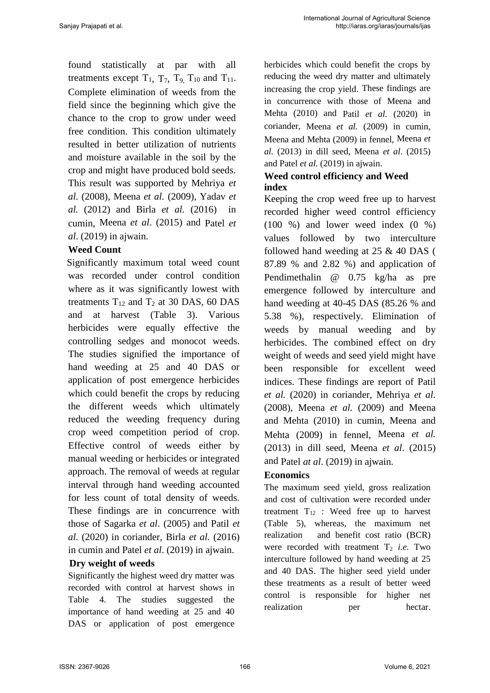found statistically at par with all treatments except  $T_1$ ,  $T_7$ ,  $T_9$ ,  $T_{10}$  and  $T_{11}$ . Complete elimination of weeds from the field since the beginning which give the chance to the crop to grow under weed free condition. This condition ultimately resulted in better utilization of nutrients and moisture available in the soil by the crop and might have produced bold seeds. This result was supported by Mehriya *et al*. (2008)*,* Meena *et al.* (2009), Yadav *et al.* (2012) and Birla *et al.* (2016) in cumin, Meena *et al*. (2015) and Patel *et al*. (2019) in ajwain.

#### **Weed Count**

 Significantly maximum total weed count was recorded under control condition where as it was significantly lowest with treatments  $T_{12}$  and  $T_2$  at 30 DAS, 60 DAS and at harvest (Table 3). Various herbicides were equally effective the controlling sedges and monocot weeds. The studies signified the importance of hand weeding at 25 and 40 DAS or application of post emergence herbicides which could benefit the crops by reducing the different weeds which ultimately reduced the weeding frequency during crop weed competition period of crop. Effective control of weeds either by manual weeding or herbicides or integrated approach. The removal of weeds at regular interval through hand weeding accounted for less count of total density of weeds. These findings are in concurrence with those of Sagarka *et al*. (2005) and Patil *et al*. (2020) in coriander, Birla *et al.* (2016) in cumin and Patel *et al*. (2019) in ajwain.

#### **Dry weight of weeds**

Significantly the highest weed dry matter was recorded with control at harvest shows in Table 4. The studies suggested the importance of hand weeding at 25 and 40 DAS or application of post emergence

herbicides which could benefit the crops by reducing the weed dry matter and ultimately increasing the crop yield. These findings are in concurrence with those of Meena and Mehta (2010) and Patil *et al.* (2020) in coriander, Meena *et al.* (2009) in cumin, Meena and Mehta (2009) in fennel, Meena *et al.* (2013) in dill seed, Meena *et al*. (2015) and Patel *et al.* (2019) in ajwain.

#### **Weed control efficiency and Weed index**

Keeping the crop weed free up to harvest recorded higher weed control efficiency (100 %) and lower weed index (0 %) values followed by two interculture followed hand weeding at 25 & 40 DAS ( 87.89 % and 2.82 %) and application of Pendimethalin @ 0.75 kg/ha as pre emergence followed by interculture and hand weeding at 40-45 DAS (85.26 % and 5.38 %), respectively. Elimination of weeds by manual weeding and by herbicides. The combined effect on dry weight of weeds and seed yield might have been responsible for excellent weed indices. These findings are report of Patil *et al.* (2020) in coriander, Mehriya *et al*. (2008), Meena *et al.* (2009) and Meena and Mehta (2010) in cumin, Meena and Mehta (2009) in fennel, Meena *et al.* (2013) in dill seed, Meena *et al*. (2015) and Patel *at al*. (2019) in ajwain.

#### **Economics**

The maximum seed yield, gross realization and cost of cultivation were recorded under treatment  $T_{12}$ : Weed free up to harvest (Table 5), whereas, the maximum net realization and benefit cost ratio (BCR) were recorded with treatment  $T_2$  *i.e.* Two interculture followed by hand weeding at 25 and 40 DAS. The higher seed yield under these treatments as a result of better weed control is responsible for higher net realization per hectar.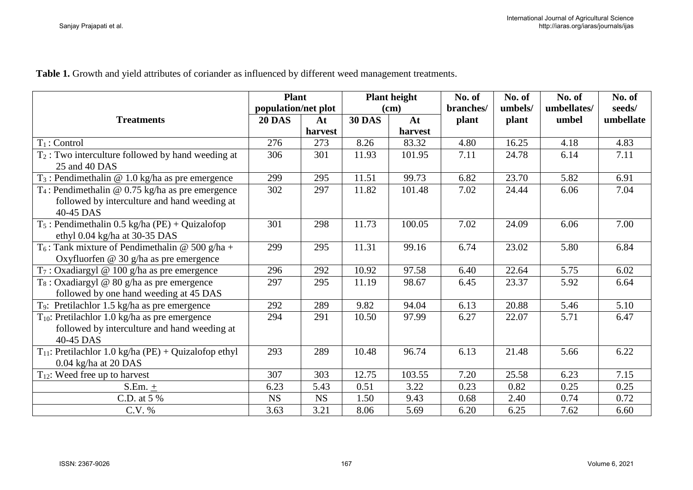Table 1. Growth and yield attributes of coriander as influenced by different weed management treatments.

|                                                                  | <b>Plant</b>  |                             |               | <b>Plant height</b> | No. of  | No. of      | No. of | No. of    |
|------------------------------------------------------------------|---------------|-----------------------------|---------------|---------------------|---------|-------------|--------|-----------|
|                                                                  |               | population/net plot<br>(cm) |               | branches/           | umbels/ | umbellates/ | seeds/ |           |
| <b>Treatments</b>                                                | <b>20 DAS</b> | At                          | <b>30 DAS</b> | At                  | plant   | plant       | umbel  | umbellate |
|                                                                  |               | harvest                     |               | harvest             |         |             |        |           |
| $T_1$ : Control                                                  | 276           | 273                         | 8.26          | 83.32               | 4.80    | 16.25       | 4.18   | 4.83      |
| $T_2$ : Two interculture followed by hand weeding at             | 306           | 301                         | 11.93         | 101.95              | 7.11    | 24.78       | 6.14   | 7.11      |
| 25 and 40 DAS                                                    |               |                             |               |                     |         |             |        |           |
| $T_3$ : Pendimethalin @ 1.0 kg/ha as pre emergence               | 299           | 295                         | 11.51         | 99.73               | 6.82    | 23.70       | 5.82   | 6.91      |
| T <sub>4</sub> : Pendimethalin @ $0.75$ kg/ha as pre emergence   | 302           | 297                         | 11.82         | 101.48              | 7.02    | 24.44       | 6.06   | 7.04      |
| followed by interculture and hand weeding at                     |               |                             |               |                     |         |             |        |           |
| 40-45 DAS                                                        |               |                             |               |                     |         |             |        |           |
| $T_5$ : Pendimethalin 0.5 kg/ha (PE) + Quizalofop                | 301           | 298                         | 11.73         | 100.05              | 7.02    | 24.09       | 6.06   | 7.00      |
| ethyl 0.04 kg/ha at 30-35 DAS                                    |               |                             |               |                     |         |             |        |           |
| T <sub>6</sub> : Tank mixture of Pendimethalin @ 500 g/ha +      | 299           | 295                         | 11.31         | 99.16               | 6.74    | 23.02       | 5.80   | 6.84      |
| Oxyfluorfen @ 30 g/ha as pre emergence                           |               |                             |               |                     |         |             |        |           |
| $T_7$ : Oxadiargyl @ 100 g/ha as pre emergence                   | 296           | 292                         | 10.92         | 97.58               | 6.40    | 22.64       | 5.75   | 6.02      |
| $T_8$ : Oxadiargyl @ 80 g/ha as pre emergence                    | 297           | 295                         | 11.19         | 98.67               | 6.45    | 23.37       | 5.92   | 6.64      |
| followed by one hand weeding at 45 DAS                           |               |                             |               |                     |         |             |        |           |
| T <sub>9</sub> : Pretilachlor 1.5 kg/ha as pre emergence         | 292           | 289                         | 9.82          | 94.04               | 6.13    | 20.88       | 5.46   | 5.10      |
| $T_{10}$ : Pretilachlor 1.0 kg/ha as pre emergence               | 294           | 291                         | 10.50         | 97.99               | 6.27    | 22.07       | 5.71   | 6.47      |
| followed by interculture and hand weeding at                     |               |                             |               |                     |         |             |        |           |
| 40-45 DAS                                                        |               |                             |               |                     |         |             |        |           |
| T <sub>11</sub> : Pretilachlor 1.0 kg/ha (PE) + Quizalofop ethyl | 293           | 289                         | 10.48         | 96.74               | 6.13    | 21.48       | 5.66   | 6.22      |
| 0.04 kg/ha at 20 DAS                                             |               |                             |               |                     |         |             |        |           |
| $T_{12}$ : Weed free up to harvest                               | 307           | 303                         | 12.75         | 103.55              | 7.20    | 25.58       | 6.23   | 7.15      |
| $S.Em. +$                                                        | 6.23          | 5.43                        | 0.51          | 3.22                | 0.23    | 0.82        | 0.25   | 0.25      |
| C.D. at 5 %                                                      | <b>NS</b>     | <b>NS</b>                   | 1.50          | 9.43                | 0.68    | 2.40        | 0.74   | 0.72      |
| C.V. %                                                           | 3.63          | 3.21                        | 8.06          | 5.69                | 6.20    | 6.25        | 7.62   | 6.60      |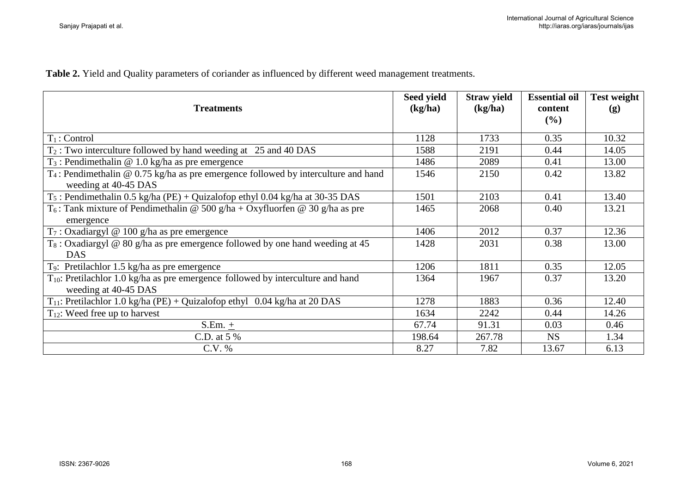**Table 2.** Yield and Quality parameters of coriander as influenced by different weed management treatments.

| <b>Treatments</b>                                                                                             | Seed yield<br>(kg/ha) | <b>Straw yield</b><br>(kg/ha) | <b>Essential oil</b><br>content<br>(%) | <b>Test weight</b><br>(g) |
|---------------------------------------------------------------------------------------------------------------|-----------------------|-------------------------------|----------------------------------------|---------------------------|
| $T_1$ : Control                                                                                               | 1128                  | 1733                          | 0.35                                   | 10.32                     |
| $T_2$ : Two interculture followed by hand weeding at 25 and 40 DAS                                            | 1588                  | 2191                          | 0.44                                   | 14.05                     |
| $T_3$ : Pendimethalin @ 1.0 kg/ha as pre emergence                                                            | 1486                  | 2089                          | 0.41                                   | 13.00                     |
| $T_4$ : Pendimethalin @ 0.75 kg/ha as pre emergence followed by interculture and hand<br>weeding at 40-45 DAS | 1546                  | 2150                          | 0.42                                   | 13.82                     |
| $T_5$ : Pendimethalin 0.5 kg/ha (PE) + Quizalofop ethyl 0.04 kg/ha at 30-35 DAS                               | 1501                  | 2103                          | 0.41                                   | 13.40                     |
| T <sub>6</sub> : Tank mixture of Pendimethalin @ 500 g/ha + Oxyfluorfen @ 30 g/ha as pre<br>emergence         | 1465                  | 2068                          | 0.40                                   | 13.21                     |
| $T_7$ : Oxadiargyl @ 100 g/ha as pre emergence                                                                | 1406                  | 2012                          | 0.37                                   | 12.36                     |
| $T_8$ : Oxadiargyl @ 80 g/ha as pre emergence followed by one hand weeding at 45<br><b>DAS</b>                | 1428                  | 2031                          | 0.38                                   | 13.00                     |
| T <sub>9</sub> : Pretilachlor 1.5 kg/ha as pre emergence                                                      | 1206                  | 1811                          | 0.35                                   | 12.05                     |
| $T_{10}$ : Pretilachlor 1.0 kg/ha as pre emergence followed by interculture and hand<br>weeding at 40-45 DAS  | 1364                  | 1967                          | 0.37                                   | 13.20                     |
| $T_{11}$ : Pretilachlor 1.0 kg/ha (PE) + Quizalofop ethyl 0.04 kg/ha at 20 DAS                                | 1278                  | 1883                          | 0.36                                   | 12.40                     |
| $T_{12}$ : Weed free up to harvest                                                                            | 1634                  | 2242                          | 0.44                                   | 14.26                     |
| $S.Em. +$                                                                                                     | 67.74                 | 91.31                         | 0.03                                   | 0.46                      |
| C.D. at $5\%$                                                                                                 | 198.64                | 267.78                        | <b>NS</b>                              | 1.34                      |
| C.V. %                                                                                                        | 8.27                  | 7.82                          | 13.67                                  | 6.13                      |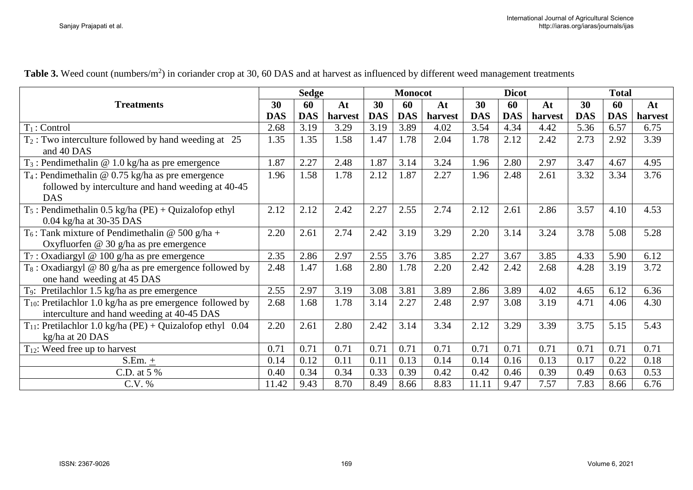|                                                                |            | <b>Sedge</b> |         | <b>Monocot</b> |            |         | <b>Dicot</b> |            |         | <b>Total</b> |            |         |
|----------------------------------------------------------------|------------|--------------|---------|----------------|------------|---------|--------------|------------|---------|--------------|------------|---------|
| <b>Treatments</b>                                              | 30         | 60           | At      | 30             | 60         | At      | 30           | 60         | At      | 30           | 60         | At      |
|                                                                | <b>DAS</b> | <b>DAS</b>   | harvest | <b>DAS</b>     | <b>DAS</b> | harvest | <b>DAS</b>   | <b>DAS</b> | harvest | <b>DAS</b>   | <b>DAS</b> | harvest |
| $T_1$ : Control                                                | 2.68       | 3.19         | 3.29    | 3.19           | 3.89       | 4.02    | 3.54         | 4.34       | 4.42    | 5.36         | 6.57       | 6.75    |
| $T_2$ : Two interculture followed by hand weeding at 25        | 1.35       | 1.35         | 1.58    | 1.47           | 1.78       | 2.04    | 1.78         | 2.12       | 2.42    | 2.73         | 2.92       | 3.39    |
| and 40 DAS                                                     |            |              |         |                |            |         |              |            |         |              |            |         |
| $T_3$ : Pendimethalin @ 1.0 kg/ha as pre emergence             | 1.87       | 2.27         | 2.48    | 1.87           | 3.14       | 3.24    | 1.96         | 2.80       | 2.97    | 3.47         | 4.67       | 4.95    |
| $T_4$ : Pendimethalin @ 0.75 kg/ha as pre emergence            | 1.96       | 1.58         | 1.78    | 2.12           | 1.87       | 2.27    | 1.96         | 2.48       | 2.61    | 3.32         | 3.34       | 3.76    |
| followed by interculture and hand weeding at 40-45             |            |              |         |                |            |         |              |            |         |              |            |         |
| <b>DAS</b>                                                     |            |              |         |                |            |         |              |            |         |              |            |         |
| $T_5$ : Pendimethalin 0.5 kg/ha (PE) + Quizalofop ethyl        | 2.12       | 2.12         | 2.42    | 2.27           | 2.55       | 2.74    | 2.12         | 2.61       | 2.86    | 3.57         | 4.10       | 4.53    |
| 0.04 kg/ha at 30-35 DAS                                        |            |              |         |                |            |         |              |            |         |              |            |         |
| $T_6$ : Tank mixture of Pendimethalin @ 500 g/ha +             | 2.20       | 2.61         | 2.74    | 2.42           | 3.19       | 3.29    | 2.20         | 3.14       | 3.24    | 3.78         | 5.08       | 5.28    |
| Oxyfluorfen @ 30 g/ha as pre emergence                         |            |              |         |                |            |         |              |            |         |              |            |         |
| $T_7$ : Oxadiargyl @ 100 g/ha as pre emergence                 | 2.35       | 2.86         | 2.97    | 2.55           | 3.76       | 3.85    | 2.27         | 3.67       | 3.85    | 4.33         | 5.90       | 6.12    |
| $T_8$ : Oxadiargyl @ 80 g/ha as pre emergence followed by      | 2.48       | 1.47         | 1.68    | 2.80           | 1.78       | 2.20    | 2.42         | 2.42       | 2.68    | 4.28         | 3.19       | 3.72    |
| one hand weeding at 45 DAS                                     |            |              |         |                |            |         |              |            |         |              |            |         |
| T <sub>9</sub> : Pretilachlor 1.5 kg/ha as pre emergence       | 2.55       | 2.97         | 3.19    | 3.08           | 3.81       | 3.89    | 2.86         | 3.89       | 4.02    | 4.65         | 6.12       | 6.36    |
| $T_{10}$ : Pretilachlor 1.0 kg/ha as pre emergence followed by | 2.68       | 1.68         | 1.78    | 3.14           | 2.27       | 2.48    | 2.97         | 3.08       | 3.19    | 4.71         | 4.06       | 4.30    |
| interculture and hand weeding at 40-45 DAS                     |            |              |         |                |            |         |              |            |         |              |            |         |
| $T_{11}$ : Pretilachlor 1.0 kg/ha (PE) + Quizalofop ethyl 0.04 | 2.20       | 2.61         | 2.80    | 2.42           | 3.14       | 3.34    | 2.12         | 3.29       | 3.39    | 3.75         | 5.15       | 5.43    |
| kg/ha at 20 DAS                                                |            |              |         |                |            |         |              |            |         |              |            |         |
| $T_{12}$ : Weed free up to harvest                             | 0.71       | 0.71         | 0.71    | 0.71           | 0.71       | 0.71    | 0.71         | 0.71       | 0.71    | 0.71         | 0.71       | 0.71    |
| S.Em. $+$                                                      | 0.14       | 0.12         | 0.11    | 0.11           | 0.13       | 0.14    | 0.14         | 0.16       | 0.13    | 0.17         | 0.22       | 0.18    |
| C.D. at 5 %                                                    | 0.40       | 0.34         | 0.34    | 0.33           | 0.39       | 0.42    | 0.42         | 0.46       | 0.39    | 0.49         | 0.63       | 0.53    |
| C.V. %                                                         | 11.42      | 9.43         | 8.70    | 8.49           | 8.66       | 8.83    | 11.11        | 9.47       | 7.57    | 7.83         | 8.66       | 6.76    |

Table 3. Weed count (numbers/m<sup>2</sup>) in coriander crop at 30, 60 DAS and at harvest as influenced by different weed management treatments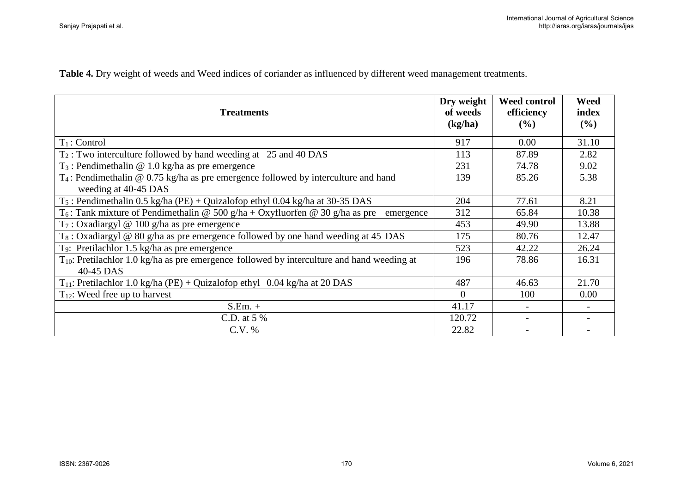**Table 4.** Dry weight of weeds and Weed indices of coriander as influenced by different weed management treatments.

| <b>Treatments</b>                                                                                             | Dry weight<br>of weeds<br>(kg/ha) | <b>Weed control</b><br>efficiency<br>$($ %) | <b>Weed</b><br>index<br>(%) |
|---------------------------------------------------------------------------------------------------------------|-----------------------------------|---------------------------------------------|-----------------------------|
| $T_1$ : Control                                                                                               | 917                               | 0.00                                        | 31.10                       |
| $T_2$ : Two interculture followed by hand weeding at 25 and 40 DAS                                            | 113                               | 87.89                                       | 2.82                        |
| $T_3$ : Pendimethalin @ 1.0 kg/ha as pre emergence                                                            | 231                               | 74.78                                       | 9.02                        |
| $T_4$ : Pendimethalin @ 0.75 kg/ha as pre emergence followed by interculture and hand<br>weeding at 40-45 DAS | 139                               | 85.26                                       | 5.38                        |
| $T_5$ : Pendimethalin 0.5 kg/ha (PE) + Quizalofop ethyl 0.04 kg/ha at 30-35 DAS                               | 204                               | 77.61                                       | 8.21                        |
| T <sub>6</sub> : Tank mixture of Pendimethalin @ 500 g/ha + Oxyfluorfen @ 30 g/ha as pre emergence            | 312                               | 65.84                                       | 10.38                       |
| $T_7$ : Oxadiargyl @ 100 g/ha as pre emergence                                                                | 453                               | 49.90                                       | 13.88                       |
| $T_8$ : Oxadiargyl @ 80 g/ha as pre emergence followed by one hand weeding at 45 DAS                          | 175                               | 80.76                                       | 12.47                       |
| T <sub>9</sub> : Pretilachlor 1.5 kg/ha as pre emergence                                                      | 523                               | 42.22                                       | 26.24                       |
| $T_{10}$ : Pretilachlor 1.0 kg/ha as pre emergence followed by interculture and hand weeding at<br>40-45 DAS  | 196                               | 78.86                                       | 16.31                       |
| $T_{11}$ : Pretilachlor 1.0 kg/ha (PE) + Quizalofop ethyl 0.04 kg/ha at 20 DAS                                | 487                               | 46.63                                       | 21.70                       |
| $T_{12}$ : Weed free up to harvest                                                                            | $\Omega$                          | 100                                         | 0.00                        |
| S.Em. $+$                                                                                                     | 41.17                             |                                             |                             |
| C.D. at $5\%$                                                                                                 | 120.72                            |                                             |                             |
| C.V. %                                                                                                        | 22.82                             |                                             |                             |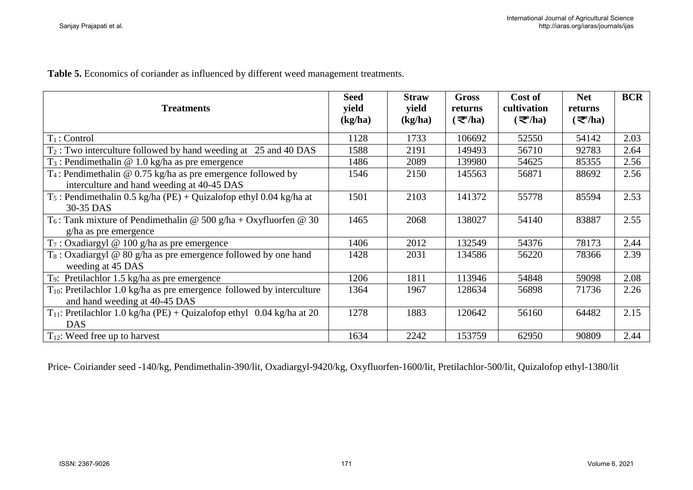**Table 5.** Economics of coriander as influenced by different weed management treatments.

| <b>Treatments</b>                                                                                             | <b>Seed</b><br>yield<br>(kg/ha) | <b>Straw</b><br>yield<br>(kg/ha) | <b>Gross</b><br>returns<br>$(\overline{\nabla}/ha)$ | Cost of<br>cultivation<br>$\left(\frac{1}{2}\right)$ ( $\approx$ /ha) | <b>Net</b><br>returns<br>$(\mathbf{\mathcal{F}}/ha)$ | <b>BCR</b> |
|---------------------------------------------------------------------------------------------------------------|---------------------------------|----------------------------------|-----------------------------------------------------|-----------------------------------------------------------------------|------------------------------------------------------|------------|
| $T_1$ : Control                                                                                               | 1128                            | 1733                             | 106692                                              | 52550                                                                 | 54142                                                | 2.03       |
| $T_2$ : Two interculture followed by hand weeding at 25 and 40 DAS                                            | 1588                            | 2191                             | 149493                                              | 56710                                                                 | 92783                                                | 2.64       |
| $T_3$ : Pendimethalin @ 1.0 kg/ha as pre emergence                                                            | 1486                            | 2089                             | 139980                                              | 54625                                                                 | 85355                                                | 2.56       |
| $T_4$ : Pendimethalin @ 0.75 kg/ha as pre emergence followed by<br>interculture and hand weeding at 40-45 DAS | 1546                            | 2150                             | 145563                                              | 56871                                                                 | 88692                                                | 2.56       |
| $T_5$ : Pendimethalin 0.5 kg/ha (PE) + Quizalofop ethyl 0.04 kg/ha at<br>30-35 DAS                            | 1501                            | 2103                             | 141372                                              | 55778                                                                 | 85594                                                | 2.53       |
| $T_6$ : Tank mixture of Pendimethalin @ 500 g/ha + Oxyfluorfen @ 30<br>g/ha as pre emergence                  | 1465                            | 2068                             | 138027                                              | 54140                                                                 | 83887                                                | 2.55       |
| $T_7$ : Oxadiargyl @ 100 g/ha as pre emergence                                                                | 1406                            | 2012                             | 132549                                              | 54376                                                                 | 78173                                                | 2.44       |
| $T_8$ : Oxadiargyl @ 80 g/ha as pre emergence followed by one hand<br>weeding at 45 DAS                       | 1428                            | 2031                             | 134586                                              | 56220                                                                 | 78366                                                | 2.39       |
| T <sub>9</sub> : Pretilachlor 1.5 kg/ha as pre emergence                                                      | 1206                            | 1811                             | 113946                                              | 54848                                                                 | 59098                                                | 2.08       |
| $T_{10}$ : Pretilachlor 1.0 kg/ha as pre emergence followed by interculture<br>and hand weeding at 40-45 DAS  | 1364                            | 1967                             | 128634                                              | 56898                                                                 | 71736                                                | 2.26       |
| T <sub>11</sub> : Pretilachlor 1.0 kg/ha (PE) + Quizalofop ethyl 0.04 kg/ha at 20<br><b>DAS</b>               | 1278                            | 1883                             | 120642                                              | 56160                                                                 | 64482                                                | 2.15       |
| $T_{12}$ : Weed free up to harvest                                                                            | 1634                            | 2242                             | 153759                                              | 62950                                                                 | 90809                                                | 2.44       |

Price- Coiriander seed -140/kg, Pendimethalin-390/lit, Oxadiargyl-9420/kg, Oxyfluorfen-1600/lit, Pretilachlor-500/lit, Quizalofop ethyl-1380/lit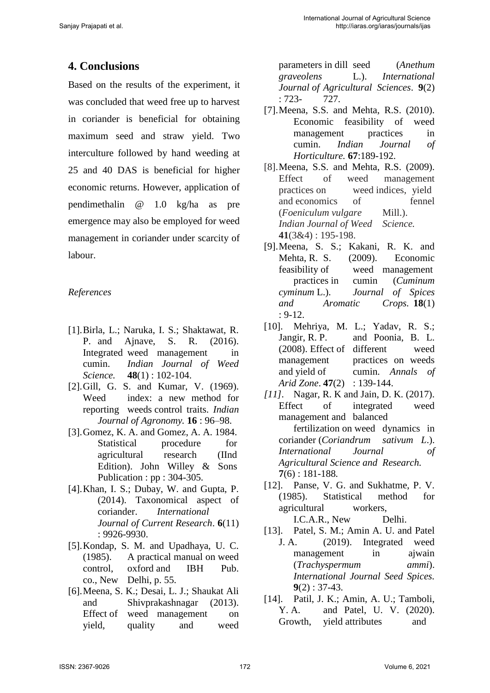## **4. Conclusions**

Based on the results of the experiment, it was concluded that weed free up to harvest in coriander is beneficial for obtaining maximum seed and straw yield. Two interculture followed by hand weeding at 25 and 40 DAS is beneficial for higher economic returns. However, application of pendimethalin @ 1.0 kg/ha as pre emergence may also be employed for weed management in coriander under scarcity of labour.

#### *References*

- [1].Birla, L.; Naruka, I. S.; Shaktawat, R. P. and Ajnave, S. R. (2016). Integrated weed management in cumin. *Indian Journal of Weed Science.* **48**(1) : 102-104.
- [2].Gill, G. S. and Kumar, V. (1969). Weed index: a new method for reporting weeds control traits. *Indian Journal of Agronomy.* **16** : 96–98.
- [3].Gomez, K. A. and Gomez, A. A. 1984. Statistical procedure for agricultural research (IInd Edition). John Willey & Sons Publication : pp : 304-305.
- [4].Khan, I. S.; Dubay, W. and Gupta, P. (2014). Taxonomical aspect of coriander. *International Journal of Current Research*. **6**(11) : 9926-9930.
- [5].Kondap, S. M. and Upadhaya, U. C. (1985). A practical manual on weed control, oxford and IBH Pub. co., New Delhi, p. 55.
- [6].Meena, S. K.; Desai, L. J.; Shaukat Ali and Shivprakashnagar (2013). Effect of weed management on yield, quality and weed

parameters in dill seed (*Anethum graveolens* L.). *International Journal of Agricultural Sciences*. **9**(2) : 723- 727.

- [7].Meena, S.S. and Mehta, R.S. (2010). Economic feasibility of weed management practices in cumin. *Indian Journal of Horticulture.* **67**:189-192.
- [8].Meena, S.S. and Mehta, R.S. (2009). Effect of weed management practices on weed indices, yield and economics of fennel (*Foeniculum vulgare* Mill.). *Indian Journal of Weed Science.*  **41**(3&4) : 195-198.
- [9].Meena, S. S.; Kakani, R. K. and Mehta, R. S. (2009). Economic feasibility of weed management practices in cumin (*Cuminum cyminum* L.). *Journal of Spices and Aromatic Crops.* **18**(1) : 9-12.
- [10]. Mehriya, M. L.; Yadav, R. S.; Jangir, R. P. and Poonia, B. L. (2008). Effect of different weed management practices on weeds and yield of cumin. *Annals of Arid Zone*. **47**(2) : 139-144.
- *[11].* Nagar, R. K and Jain, D. K. (2017). Effect of integrated weed management and balanced fertilization on weed dynamics in coriander (*Coriandrum sativum L*.). *International Journal of Agricultural Science and Research.*  **7**(6) : 181*-*188*.*
- [12]. Panse, V. G. and Sukhatme, P. V. (1985). Statistical method for agricultural workers,

I.C.A.R., New Delhi.

- [13]. Patel, S. M.; Amin A. U. and Patel J. A. (2019). Integrated weed management in ajwain (*Trachyspermum ammi*). *International Journal Seed Spices.*  **9**(2) : 37-43.
- [14]. Patil, J. K.; Amin, A. U.; Tamboli, Y. A. and Patel, U. V. (2020). Growth, yield attributes and